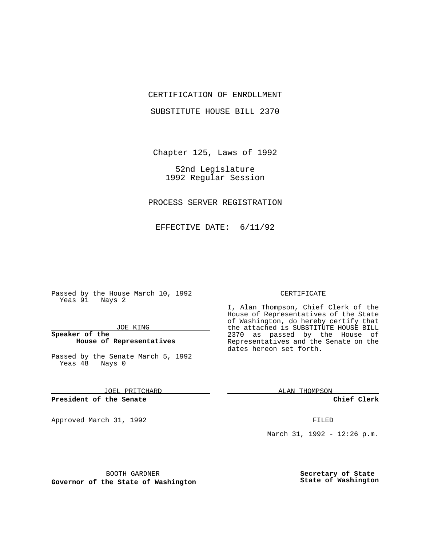## CERTIFICATION OF ENROLLMENT

SUBSTITUTE HOUSE BILL 2370

Chapter 125, Laws of 1992

52nd Legislature 1992 Regular Session

PROCESS SERVER REGISTRATION

EFFECTIVE DATE: 6/11/92

Passed by the House March 10, 1992 Yeas 91 Nays 2

#### JOE KING

## **Speaker of the House of Representatives**

Passed by the Senate March 5, 1992 Yeas 48 Nays 0

JOEL PRITCHARD

**President of the Senate**

Approved March 31, 1992 **FILED** 

### CERTIFICATE

I, Alan Thompson, Chief Clerk of the House of Representatives of the State of Washington, do hereby certify that the attached is SUBSTITUTE HOUSE BILL 2370 as passed by the House of Representatives and the Senate on the dates hereon set forth.

ALAN THOMPSON

**Chief Clerk**

March 31, 1992 - 12:26 p.m.

BOOTH GARDNER

**Governor of the State of Washington**

**Secretary of State State of Washington**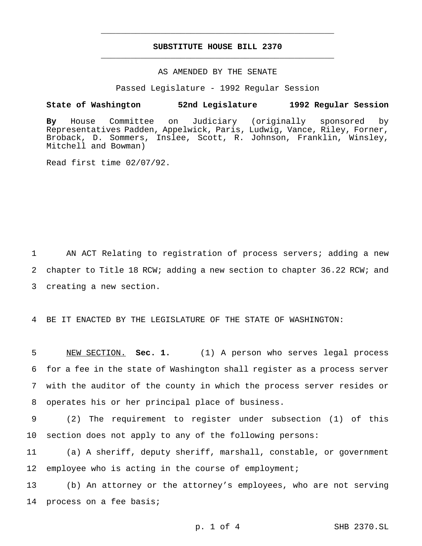# **SUBSTITUTE HOUSE BILL 2370** \_\_\_\_\_\_\_\_\_\_\_\_\_\_\_\_\_\_\_\_\_\_\_\_\_\_\_\_\_\_\_\_\_\_\_\_\_\_\_\_\_\_\_\_\_\_\_

\_\_\_\_\_\_\_\_\_\_\_\_\_\_\_\_\_\_\_\_\_\_\_\_\_\_\_\_\_\_\_\_\_\_\_\_\_\_\_\_\_\_\_\_\_\_\_

# AS AMENDED BY THE SENATE

Passed Legislature - 1992 Regular Session

### **State of Washington 52nd Legislature 1992 Regular Session**

**By** House Committee on Judiciary (originally sponsored by Representatives Padden, Appelwick, Paris, Ludwig, Vance, Riley, Forner, Broback, D. Sommers, Inslee, Scott, R. Johnson, Franklin, Winsley, Mitchell and Bowman)

Read first time 02/07/92.

1 AN ACT Relating to registration of process servers; adding a new 2 chapter to Title 18 RCW; adding a new section to chapter 36.22 RCW; and 3 creating a new section.

4 BE IT ENACTED BY THE LEGISLATURE OF THE STATE OF WASHINGTON:

 NEW SECTION. **Sec. 1.** (1) A person who serves legal process for a fee in the state of Washington shall register as a process server with the auditor of the county in which the process server resides or operates his or her principal place of business.

9 (2) The requirement to register under subsection (1) of this 10 section does not apply to any of the following persons:

11 (a) A sheriff, deputy sheriff, marshall, constable, or government 12 employee who is acting in the course of employment;

13 (b) An attorney or the attorney's employees, who are not serving 14 process on a fee basis;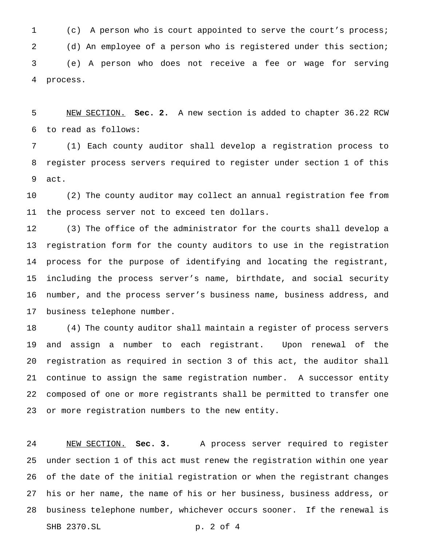(c) A person who is court appointed to serve the court's process; (d) An employee of a person who is registered under this section; (e) A person who does not receive a fee or wage for serving process.

 NEW SECTION. **Sec. 2.** A new section is added to chapter 36.22 RCW to read as follows:

 (1) Each county auditor shall develop a registration process to register process servers required to register under section 1 of this act.

 (2) The county auditor may collect an annual registration fee from the process server not to exceed ten dollars.

 (3) The office of the administrator for the courts shall develop a registration form for the county auditors to use in the registration process for the purpose of identifying and locating the registrant, including the process server's name, birthdate, and social security number, and the process server's business name, business address, and business telephone number.

 (4) The county auditor shall maintain a register of process servers and assign a number to each registrant. Upon renewal of the registration as required in section 3 of this act, the auditor shall continue to assign the same registration number. A successor entity composed of one or more registrants shall be permitted to transfer one or more registration numbers to the new entity.

 NEW SECTION. **Sec. 3.** A process server required to register under section 1 of this act must renew the registration within one year of the date of the initial registration or when the registrant changes his or her name, the name of his or her business, business address, or business telephone number, whichever occurs sooner. If the renewal is SHB 2370.SL p. 2 of 4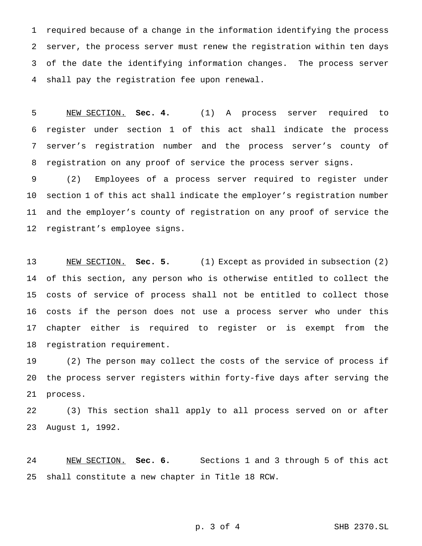required because of a change in the information identifying the process server, the process server must renew the registration within ten days of the date the identifying information changes. The process server shall pay the registration fee upon renewal.

 NEW SECTION. **Sec. 4.** (1) A process server required to register under section 1 of this act shall indicate the process server's registration number and the process server's county of registration on any proof of service the process server signs.

 (2) Employees of a process server required to register under section 1 of this act shall indicate the employer's registration number and the employer's county of registration on any proof of service the registrant's employee signs.

 NEW SECTION. **Sec. 5.** (1) Except as provided in subsection (2) of this section, any person who is otherwise entitled to collect the costs of service of process shall not be entitled to collect those costs if the person does not use a process server who under this chapter either is required to register or is exempt from the registration requirement.

 (2) The person may collect the costs of the service of process if the process server registers within forty-five days after serving the process.

 (3) This section shall apply to all process served on or after August 1, 1992.

 NEW SECTION. **Sec. 6.** Sections 1 and 3 through 5 of this act shall constitute a new chapter in Title 18 RCW.